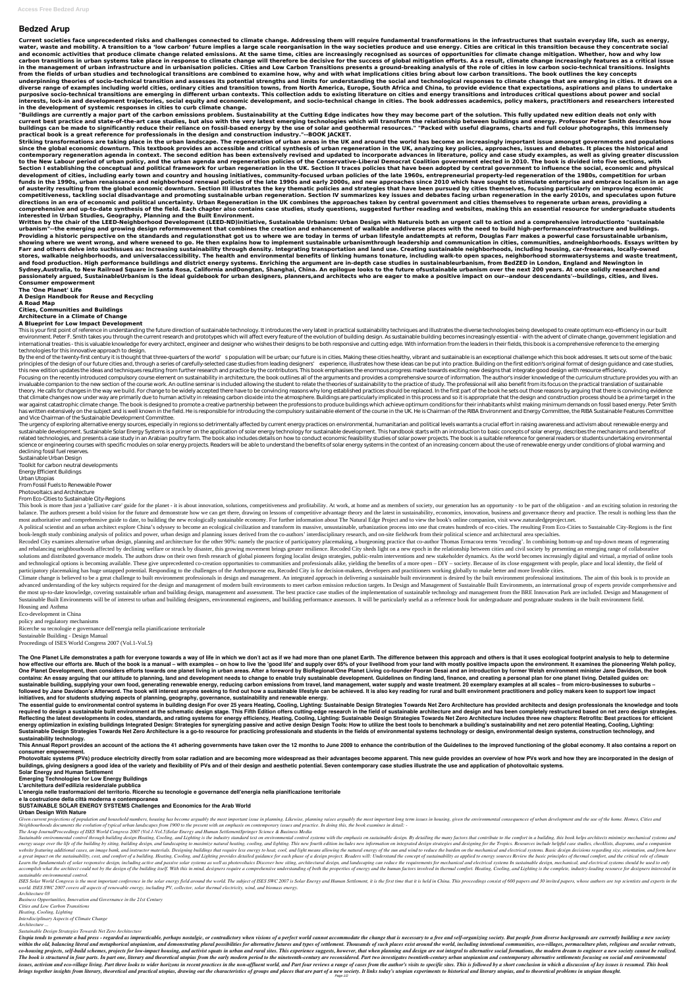# **Bedzed Arup**

**Current societies face unprecedented risks and challenges connected to climate change. Addressing them will require fundamental transformations in the infrastructures that sustain everyday life, such as energy, water, waste and mobility. A transition to a 'low carbon' future implies a large scale reorganisation in the way societies produce and use energy. Cities are critical in this transition because they concentrate social and economic activities that produce climate change related emissions. At the same time, cities are increasingly recognised as sources of opportunities for climate change mitigation. Whether, how and why low** carbon transitions in urban systems take place in response to climate change will therefore be decisive for the success of global mitigation efforts. As a result, climate change increasingly features as a critical issue **in the management of urban infrastructure and in urbanisation policies. Cities and Low Carbon Transitions presents a ground-breaking analysis of the role of cities in low carbon socio-technical transitions. Insights from the fields of urban studies and technological transitions are combined to examine how, why and with what implications cities bring about low carbon transitions. The book outlines the key concepts underpinning theories of socio-technical transition and assesses its potential strengths and limits for understanding the social and technological responses to climate change that are emerging in cities. It draws on a diverse range of examples including world cities, ordinary cities and transition towns, from North America, Europe, South Africa and China, to provide evidence that expectations, aspirations and plans to undertake purposive socio-technical transitions are emerging in different urban contexts. This collection adds to existing literature on cities and energy transitions and introduces critical questions about power and social interests, lock-in and development trajectories, social equity and economic development, and socio-technical change in cities. The book addresses academics, policy makers, practitioners and researchers interested in the development of systemic responses in cities to curb climate change.**

**"Buildings are currently a major part of the carbon emissions problem. Sustainability at the Cutting Edge indicates how they may become part of the solution. This fully updated new edition deals not only with current best practice and state-of-the-art case studies, but also with the very latest emerging technologies which will transform the relationship between buildings and energy. Professor Peter Smith describes how buildings can be made to significantly reduce their reliance on fossil-based energy by the use of solar and geothermal resources." "Packed with useful diagrams, charts and full colour photographs, this immensely practical book is a great reference for professionals in the design and construction industry."--BOOK JACKET.**

This is your first point of reference in understanding the future direction of sustainable technology. It introduces the very latest in practical sustainability techniques and illustrates the diverse technologies being dev environment. Peter F. Smith takes you through the current research and prototypes which will affect every feature of the evolution of building design. As sustainable building becomes increasingly essential - with the adven international treaties - this is valuable knowledge for every architect, engineer and designer who wishes their designs to be both responsive and cutting edge. With information from the leaders in their fields, this book i technologies for this innovative approach to design.

**Striking transformations are taking place in the urban landscape. The regeneration of urban areas in the UK and around the world has become an increasingly important issue amongst governments and populations since the global economic downturn. This textbook provides an accessible and critical synthesis of urban regeneration in the UK, analyzing key policies, approaches, issues and debates. It places the historical and contemporary regeneration agenda in context. The second edition has been extensively revised and updated to incorporate advances in literature, policy and case study examples, as well as giving greater discussion to the New Labour period of urban policy, and the urban agenda and regeneration policies of the Conservative-Liberal Democrat Coalition government elected in 2010. The book is divided into five sections, with Section I establishing the conceptual and political framework for urban regeneration in the UK. Section II traces policies that have been adopted by central government to influence the social, economic and physical development of cities, including early town and country and housing initiatives, community-focused urban policies of the late 1960s, entrepreneurial property-led regeneration of the 1980s, competition for urban funds in the 1990s, urban renaissance and neighborhood renewal policies of the late 1990s and early 2000s, and new approaches since 2010 which have sought to stimulate enterprise and embrace localism in an age of austerity resulting from the global economic downturn. Section III illustrates the key thematic policies and strategies that have been pursued by cities themselves, focusing particularly on improving economic competitiveness, tackling social disadvantage and promoting sustainable urban regeneration. Section IV summarizes key issues and debates facing urban regeneration in the early 2010s, and speculates upon future directions in an era of economic and political uncertainty. Urban Regeneration in the UK combines the approaches taken by central government and cities themselves to regenerate urban areas, providing a comprehensive and up-to-date synthesis of the field. Each chapter also contains case studies, study questions, suggested further reading and websites, making this an essential resource for undergraduate students interested in Urban Studies, Geography, Planning and the Built Environment.**

By the end of the twenty-first century it is thought that three-quarters of the world' spopulation will be urban; our future is in cities. Making these cities healthy, vibrant and sustainable is an exceptional challenge wh principles of the design of our future cities and, through a series of carefully-selected case studies from leading designers' experience, illustrates how these ideas can be put into practice. Building on the first edition this new edition updates the ideas and techniques resulting from further research and practice by the contributors. This book emphasises the enormous progress made towards exciting new designs that integrate good design wi Focusing on the recently introduced compulsory course element on sustainability in architecture, the book outlines all of the arguments and provides a comprehensive source of information. The author's insider knowledge of invaluable companion to the new section of the course work. An outline seminar is included allowing the student to relate the theories of sustainability to the practice of study. The professional will also benefit from its theory. He calls for changes in the way we build. For change to be widely accepted there have to be convincing reasons why long established practices should be replaced. In the first part of the book he sets out those reas that climate changes now under way are primarily due to human activity in releasing carbon dioxide into the atmosphere. Buildings are particularly implicated in this process and so it is appropriate that the design and con war against catastrophic climate change. The book is designed to promote a creative partnership between the professions to produce buildings which achieve optimum conditions for their inhabitants whilst making minimum dema has written extensively on the subject and is well known in the field. He is responsible for introducing the compulsory sustainable element of the course in the UK. He is Chairman of the RIBA Environment and Energy Committ and Vice Chairman of the Sustainable Development Committee. The urgency of exploring alternative energy sources, especially in regions so detrimentally affected by current energy practices on environmental, humanitarian and political levels warrants a crucial effort in raising awar sustainable development. Sustainable Solar Energy Systems is a primer on the application of solar energy technology for sustainable development. This handbook starts with an introduction to basic concepts of solar energy, related technologies, and presents a case study in an Arabian poultry farm. The book also includes details on how to conduct economic feasibility studies of solar power projects. The book is a suitable reference for genera science or engineering courses with specific modules on solar energy projects. Readers will be able to understand the benefits of solar energy systems in the context of an increasing concern about the use of renewable ener declining fossil fuel reserves. Sustainable Urban Design Toolkit for carbon neutral developments Energy Efficient Buildings Urban Utopias From Fossil Fuels to Renewable Power

**Written by the chair of the LEED-Neighborhood Development (LEED-ND)initiative, Sustainable Urbanism: Urban Design with Natureis both an urgent call to action and a comprehensive introductionto "sustainable urbanism"--the emerging and growing design reformmovement that combines the creation and enhancement of walkable anddiverse places with the need to build high-performanceinfrastructure and buildings. Providing a historic perspective on the standards and regulationsthat got us to where we are today in terms of urban lifestyle andattempts at reform, Douglas Farr makes a powerful case forsustainable urbanism, showing where we went wrong, and where weneed to go. He then explains how to implement sustainable urbanismthrough leadership and communication in cities, communities, andneighborhoods. Essays written by Farr and others delve into suchissues as: Increasing sustainability through density. Integrating transportation and land use. Creating sustainable neighborhoods, including housing, car-freeareas, locally-owned stores, walkable neighborhoods, and universalaccessibility. The health and environmental benefits of linking humans tonature, including walk-to open spaces, neighborhood stormwatersystems and waste treatment, and food production. High performance buildings and district energy systems. Enriching the argument are in-depth case studies in sustainableurbanism, from BedZED in London, England and Newington in Sydney,Australia, to New Railroad Square in Santa Rosa, California andDongtan, Shanghai, China. An epilogue looks to the future ofsustainable urbanism over the next 200 years. At once solidly researched and passionately argued, SustainableUrbanism is the ideal guidebook for urban designers, planners,and architects who are eager to make a positive impact on our--andour descendants'--buildings, cities, and lives. Consumer empowerment**

**The 'One Planet' Life**

**A Design Handbook for Reuse and Recycling**

**A Road Map**

**Cities, Communities and Buildings**

**Architecture in a Climate of Change**

### **A Blueprint for Low Impact Development**

Climate change is believed to be a great challenge to built environment professionals in design and management. An integrated approach in delivering a sustainable built environment is desired by the built environment profe advanced understanding of the key subjects required for the design and management of modern built environments to meet carbon emission reduction targets. In Design and Management of Sustainable Built Environments, an inter the most up-to-date knowledge, covering sustainable urban and building design, management and assessment. The best practice case studies of the implementation of sustainable technology and management from the BRE Innovatio Sustainable Built Environments will be of interest to urban and building designers, environmental engineers, and building performance assessors. It will be particularly useful as a reference book for undergraduate and post Housing and Asthma

The One Planet Life demonstrates a path for everyone towards a way of life in which we don't act as if we had more than one planet Earth. The difference between this approach and others is that it uses ecological footprint how effective our efforts are. Much of the book is a manual – with examples – on how to live the 'good life' and supply over 65% of your livelihood from your land with mostly positive impacts upon the environment. It exami One Planet Development, then considers efforts towards one planet living in urban areas. After a foreword by BioRegional/One Planet Living co-founder Pooran Desai and an introduction by former Welsh environment minister Ja contains: An essay arquing that our attitude to planning, land and development needs to change to enable truly sustainable development. Guidelines on finding land, finance, and creating a personal plan for one planet livin sustainable building, supplying your own food, generating renewable energy, reducing carbon emissions from travel, land management, water supply and waste treatment. 20 exemplary examples at all scales – from micro-busines followed by Jane Davidson's Afterword. The book will interest anyone seeking to find out how a sustainable lifestyle can be achieved. It is also key reading for rural and built environment practitioners and policy makers k **initiatives, and for students studying aspects of planning, geography, governance, sustainability and renewable energy.**

The essential guide to environmental control systems in building design For over 25 years Heating, Cooling, Lighting: Sustainable Design Strategies Towards Net Zero Architecture has provided architects and design professio required to design a sustainable built environment at the schematic design stage. This Fifth Edition offers cutting-edge research in the field of sustainable architecture and design and has been completely restructured bas Reflecting the latest developments in codes, standards, and rating systems for energy efficiency, Heating, Cooling, Lighting: Sustainable Design Strategies Towards Net Zero Architecture includes three new chapters: Retrofi energy optimization in existing buildings Integrated Design: Strategies for synergizing passive and active design Design Tools: How to utilize the best tools to benchmark a building's sustainability and net zero potential Sustainable Design Strategies Towards Net Zero Architecture is a go-to resource for practicing professionals and students in the fields of environmental systems technology or design, environmental design systems, construct **sustainability technology.**

This Annual Report provides an account of the actions the 41 adhering governments have taken over the 12 months to June 2009 to enhance the contribution of the Guidelines to the improved functioning of the global economy.

Photovoltaic systems (PVs) produce electricity directly from solar radiation and are becoming more widespread as their advantages become apparent. This new quide provides an overview of how PVs work and how they are incorp **buildings, giving designers a good idea of the variety and flexibility of PVs and of their design and aesthetic potential. Seven contemporary case studies illustrate the use and application of photovoltaic systems.**

Given current projections of population and household numbers, housing has become arguably the most important issue in planning. Likewise, planning raises arguably the most important long term issues in housing, given the *Neighbourhoods documents the evolution of typical urban landscapes from 1900 to the present with an emphasis on contemporary issues and practice. In doing this, the book examines in detail: -*

Sustainable environmental control through building design Heating, Cooling, and Lighting is the industry standard text on environmental control systems with the emphasis on sustainable design. By detailing the many factors energy usage over the life of the building by siting, building design, and landscaping to maximize natural heating, cooling, and lighting. This new fourth edition includes new information on integrated design strategies an website featuring additional cases, an image bank, and instructor materials. Designing buildings that require less energy to heat, cool, and light means allowing the natural energy of the sun and wind to reduce the burden a great impact on the sustainability, cost, and comfort of a building. Heating, Cooling, and Lighting provides detailed guidance for each phase of a design project. Readers will: Understand the concept of sustainability as Learn the fundamentals of solar responsive design, including active and passive solar systems as well as photovoltaics Discover how siting, architectural design, and landscaping can reduce the requirements for mechanical a accomplish what the architect could not by the design of the building itself. With this in mind, designers require a comprehensive understanding of both the properties of energy and the human factors involved in thermal co *sustainable environmental control.*

ISES Solar World Congress is the most important conference in the solar energy field around the world. The subject of ISES SWC 2007 is Solar Energy and Human Settlement, it is the first time that it is held in China. This *world. ISES SWC 2007 covers all aspects of renewable energy, including PV, collector, solar thermal electricity, wind, and biomass energy.*

Photovoltaics and Architecture

From Eco-Cities to Sustainable City-Regions

This book is more than just a 'palliative care' guide for the planet - it is about innovation, solutions, competitiveness and profitability. At work, at home and as members of society, our generation has an opportunity - t balance. The authors present a bold vision for the future and demonstrate how we can get there, drawing on lessons of competitive advantage theory and the latest in sustainability, economics, innovation, business and gover most authoritative and comprehensive guide to date, to building the new ecologically sustainable economy. For further information about The Natural Edge Project and to view the book's online companion, visit www.naturaledg

A political scientist and an urban architect explore China's odyssey to become an ecological civilization and transform its massive, unsustainable, urbanization process into one that creates hundreds of eco-cities. The res book-length study combining analysis of politics and power, urban design and planning issues derived from the co-authors' interdisciplinary research, and on-site fieldwork from their political science and architectural are

Recoded City examines alternative urban design, planning and architecture for the other 90%: namely the practice of participatory placemaking, a burgeoning practice that co-author Thomas Ermacora terms 'recoding'. In combi and rebalancing neighbourhoods affected by declining welfare or struck by disaster, this growing movement brings greater resilience. Recoded City sheds light on a new epoch in the relationship between cities and civil soci solutions and distributed governance models. The authors draw on their own fresh research of global pioneers forging localist design strategies, public-realm interventions and new stakeholder dynamics. As the world becomes and technological options is becoming available. These give unprecedented co-creation opportunities to communities and professionals alike, yielding the benefits of a more open – DIY – society. Because of its close engagem participatory placemaking has huge untapped potential. Responding to the challenges of the Anthropocene era, Recoded City is for decision-makers, developers and practitioners working globally to make better and more liveab

Eco-development in China policy and regulatory mechanisms Ricerche su tecnologie e governance dell'energia nella pianificazione territoriale Sustainable Building - Design Manual Proceedings of ISES World Congress 2007 (Vol.1-Vol.5)

**consumer empowerment.**

**Solar Energy and Human Settlement**

**Emerging Technologies for Low Energy Buildings**

**L'architettura dell'edilizia residenziale pubblica**

**L'energia nelle trasformazioni del territorio. Ricerche su tecnologie e governance dell'energia nella pianificazione territoriale**

**e la costruzione della città moderna e contemporanea**

#### **SUSTAINABLE SOLAR ENERGY SYSTEMS Challenges and Economics for the Arab World**

### **Urban Design With Nature**

*The Arup JournalProceedings of ISES World Congress 2007 (Vol.1-Vol.5)Solar Energy and Human SettlementSpringer Science & Business Media*

*Architecture 03*

*Business Opportunities, Innovation and Governance in the 21st Century*

*Cities and Low Carbon Transitions*

*Heating, Cooling, Lighting*

*Interdisciplinary Aspects of Climate Change*

*Architecture ...*

*Sustainable Design Strategies Towards Net Zero Architecture*

Utopia tends to generate a bad press - regarded as impracticable, perhaps nostalgic, or contradictory when visions of a perfect world cannot accommodate the change that is necessary to a free and self-organizing society. B within the old, balancing literal and metaphorical utopianism, and demonstrating plural possibilities for alternative futures and types of settlement. Thousands of such places exist around the world, including intentional co-housing projects, self-build schemes, projects for low-impact housing, and activist squats in urban and rural sites. This experience suggests, however, that when planning and design are not integral to alternative socia The book is structured in four parts. In part one, literary and theoretical utopias from the early modern period to the nineteenth-century are reconsidered. Part two investigates twentieth-century urban utopianism and cont issues, activism and eco-village living. Part three looks to wider horizons in recent practices in the non-affluent world, and Part four reviews a range of cases from the author's visits to specific sites. This is followed brings together insights from literary, theoretical and practical utopias, drawing out the characteristics of groups and places that are part of a new society. It links today's utopian experiments to historical and literar